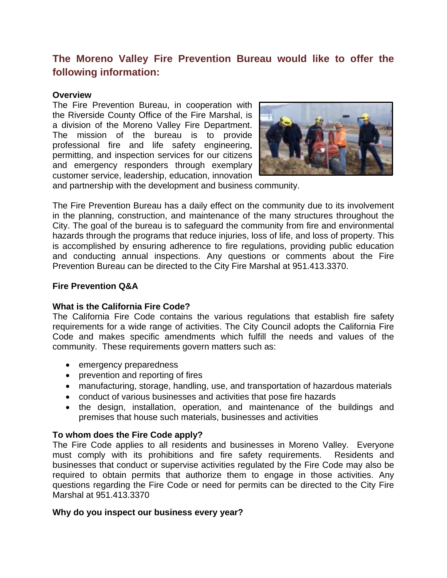# **The Moreno Valley Fire Prevention Bureau would like to offer the following information:**

## **Overview**

The Fire Prevention Bureau, in cooperation with the Riverside County Office of the Fire Marshal, is a division of the Moreno Valley Fire Department. The mission of the bureau is to provide professional fire and life safety engineering, permitting, and inspection services for our citizens and emergency responders through exemplary customer service, leadership, education, innovation



and partnership with the development and business community.

The Fire Prevention Bureau has a daily effect on the community due to its involvement in the planning, construction, and maintenance of the many structures throughout the City. The goal of the bureau is to safeguard the community from fire and environmental hazards through the programs that reduce injuries, loss of life, and loss of property. This is accomplished by ensuring adherence to fire regulations, providing public education and conducting annual inspections. Any questions or comments about the Fire Prevention Bureau can be directed to the City Fire Marshal at 951.413.3370.

## **Fire Prevention Q&A**

# **What is the California Fire Code?**

The California Fire Code contains the various regulations that establish fire safety requirements for a wide range of activities. The City Council adopts the California Fire Code and makes specific amendments which fulfill the needs and values of the community. These requirements govern matters such as:

- emergency preparedness
- prevention and reporting of fires
- manufacturing, storage, handling, use, and transportation of hazardous materials
- conduct of various businesses and activities that pose fire hazards
- the design, installation, operation, and maintenance of the buildings and premises that house such materials, businesses and activities

# **To whom does the Fire Code apply?**

The Fire Code applies to all residents and businesses in Moreno Valley. Everyone must comply with its prohibitions and fire safety requirements. Residents and businesses that conduct or supervise activities regulated by the Fire Code may also be required to obtain permits that authorize them to engage in those activities. Any questions regarding the Fire Code or need for permits can be directed to the City Fire Marshal at 951.413.3370

# **Why do you inspect our business every year?**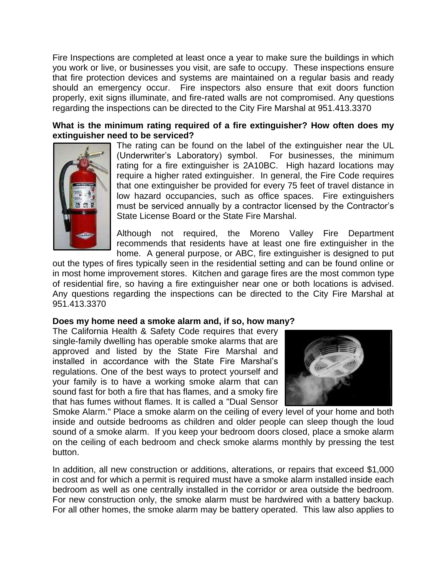Fire Inspections are completed at least once a year to make sure the buildings in which you work or live, or businesses you visit, are safe to occupy. These inspections ensure that fire protection devices and systems are maintained on a regular basis and ready should an emergency occur. Fire inspectors also ensure that exit doors function properly, exit signs illuminate, and fire-rated walls are not compromised. Any questions regarding the inspections can be directed to the City Fire Marshal at 951.413.3370

## **What is the minimum rating required of a fire extinguisher? How often does my extinguisher need to be serviced?**



The rating can be found on the label of the extinguisher near the UL (Underwriter's Laboratory) symbol. For businesses, the minimum rating for a fire extinguisher is 2A10BC. High hazard locations may require a higher rated extinguisher. In general, the Fire Code requires that one extinguisher be provided for every 75 feet of travel distance in low hazard occupancies, such as office spaces. Fire extinguishers must be serviced annually by a contractor licensed by the Contractor's State License Board or the State Fire Marshal.

Although not required, the Moreno Valley Fire Department recommends that residents have at least one fire extinguisher in the home. A general purpose, or ABC, fire extinguisher is designed to put

out the types of fires typically seen in the residential setting and can be found online or in most home improvement stores. Kitchen and garage fires are the most common type of residential fire, so having a fire extinguisher near one or both locations is advised. Any questions regarding the inspections can be directed to the City Fire Marshal at 951.413.3370

#### **Does my home need a smoke alarm and, if so, how many?**

The California Health & Safety Code requires that every single-family dwelling has operable smoke alarms that are approved and listed by the State Fire Marshal and installed in accordance with the State Fire Marshal's regulations. One of the best ways to protect yourself and your family is to have a working smoke alarm that can sound fast for both a fire that has flames, and a smoky fire that has fumes without flames. It is called a "Dual Sensor



Smoke Alarm." Place a smoke alarm on the ceiling of every level of your home and both inside and outside bedrooms as children and older people can sleep though the loud sound of a smoke alarm. If you keep your bedroom doors closed, place a smoke alarm on the ceiling of each bedroom and check smoke alarms monthly by pressing the test button.

In addition, all new construction or additions, alterations, or repairs that exceed \$1,000 in cost and for which a permit is required must have a smoke alarm installed inside each bedroom as well as one centrally installed in the corridor or area outside the bedroom. For new construction only, the smoke alarm must be hardwired with a battery backup. For all other homes, the smoke alarm may be battery operated. This law also applies to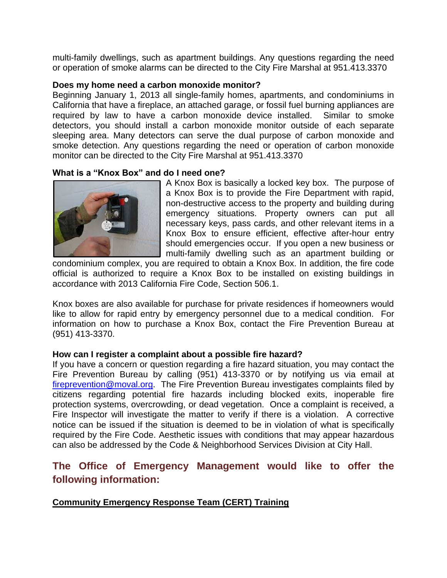multi-family dwellings, such as apartment buildings. Any questions regarding the need or operation of smoke alarms can be directed to the City Fire Marshal at 951.413.3370

### **Does my home need a carbon monoxide monitor?**

Beginning January 1, 2013 all single-family homes, apartments, and condominiums in California that have a fireplace, an attached garage, or fossil fuel burning appliances are required by law to have a carbon monoxide device installed. Similar to smoke detectors, you should install a carbon monoxide monitor outside of each separate sleeping area. Many detectors can serve the dual purpose of carbon monoxide and smoke detection. Any questions regarding the need or operation of carbon monoxide monitor can be directed to the City Fire Marshal at 951.413.3370

# **What is a "Knox Box" and do I need one?**



A Knox Box is basically a locked key box. The purpose of a Knox Box is to provide the Fire Department with rapid, non-destructive access to the property and building during emergency situations. Property owners can put all necessary keys, pass cards, and other relevant items in a Knox Box to ensure efficient, effective after-hour entry should emergencies occur. If you open a new business or multi-family dwelling such as an apartment building or

condominium complex, you are required to obtain a Knox Box. In addition, the fire code official is authorized to require a Knox Box to be installed on existing buildings in accordance with 2013 California Fire Code, Section 506.1.

Knox boxes are also available for purchase for private residences if homeowners would like to allow for rapid entry by emergency personnel due to a medical condition. For information on how to purchase a Knox Box, contact the Fire Prevention Bureau at (951) 413-3370.

#### **How can I register a complaint about a possible fire hazard?**

If you have a concern or question regarding a fire hazard situation, you may contact the Fire Prevention Bureau by calling (951) 413-3370 or by notifying us via email at [fireprevention@moval.org.](mailto:fireprevention@moval.org) The Fire Prevention Bureau investigates complaints filed by citizens regarding potential fire hazards including blocked exits, inoperable fire protection systems, overcrowding, or dead vegetation. Once a complaint is received, a Fire Inspector will investigate the matter to verify if there is a violation. A corrective notice can be issued if the situation is deemed to be in violation of what is specifically required by the Fire Code. Aesthetic issues with conditions that may appear hazardous can also be addressed by the Code & Neighborhood Services Division at City Hall.

# **The Office of Emergency Management would like to offer the following information:**

# **Community Emergency Response Team (CERT) Training**